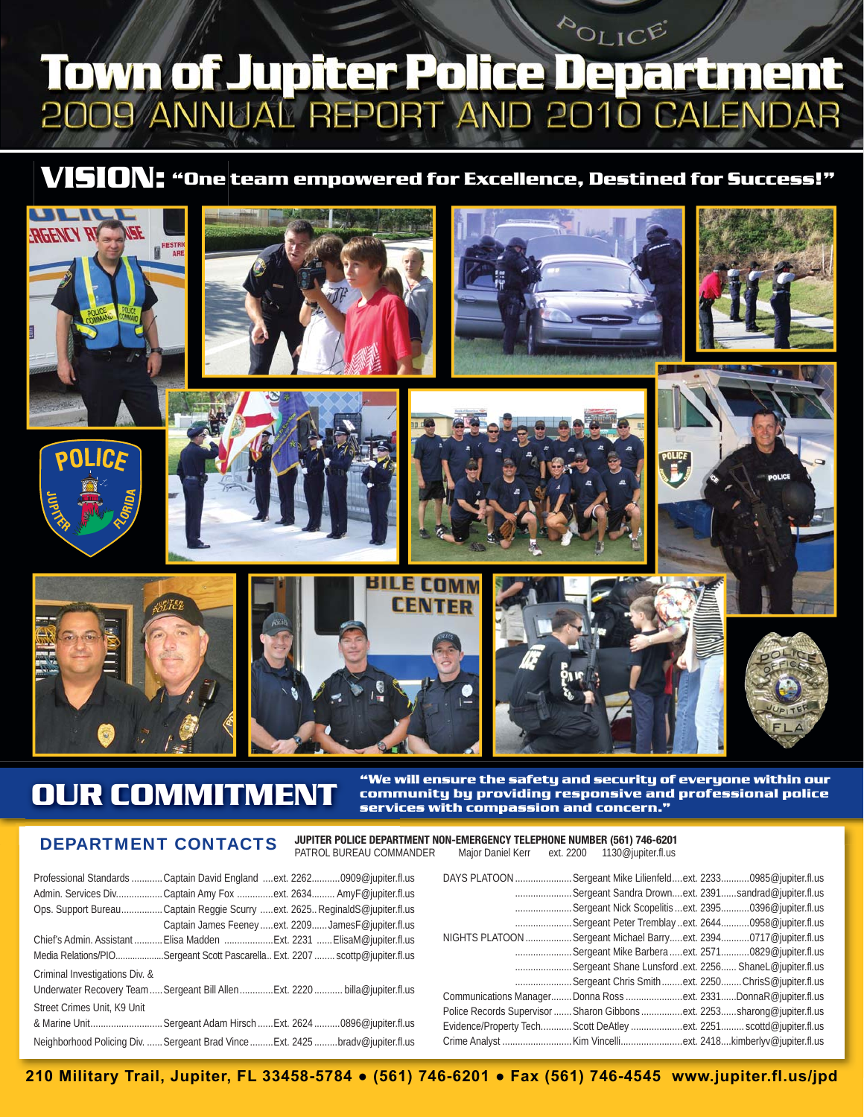### POLICE Town of Jupiter Police Department <u>D9 ANNUAL</u> REPORT ANI **CALENDAR D** 20 D10

## **VISION: "One team empowered for Excellence, Destined for Success!"**



# **OUR COMMITMENT**

"We will ensure the safety and security of everyone within our community by providing responsive and professional police services with compassion and concern."  $\,$ 

### DEPARTMENT CONTACTS

**JUPITER POLICE DEPARTMENT NON-EMERGENCY TELEPHONE NUMBER (561) 746-6201** PATROL BUREAU COMMANDER Major Daniel Kerr ext. 2200 1130@jupiter.fl.us

|                                | Professional Standards Captain David England ext. 22620909@jupiter.fl.us       |
|--------------------------------|--------------------------------------------------------------------------------|
|                                | Admin. Services DivCaptain Amy Fox ext. 2634 AmyF@jupiter.fl.us                |
|                                | Ops. Support BureauCaptain Reggie Scurry ext. 2625 ReginaldS@jupiter.fl.us     |
|                                | Captain James Feeney  ext. 2209  James F@jupiter.fl.us                         |
|                                |                                                                                |
|                                | Media Relations/PIOSergeant Scott Pascarella Ext. 2207 scottp@jupiter.fl.us    |
| Criminal Investigations Div. & |                                                                                |
|                                | Underwater Recovery Team  Sergeant Bill Allen  Ext. 2220  billa@jupiter.fl.us  |
| Street Crimes Unit, K9 Unit    |                                                                                |
|                                | & Marine UnitSergeant Adam Hirsch  Ext. 2624 0896@jupiter.fl.us                |
|                                | Neighborhood Policing Div.  Sergeant Brad Vince  Ext. 2425 bradv@jupiter.fl.us |

|  | DAYS PLATOON  Sergeant Mike Lilienfeldext. 22330985@jupiter.fl.us        |
|--|--------------------------------------------------------------------------|
|  | Sergeant Sandra Drownext. 2391sandrad@jupiter.fl.us                      |
|  | Sergeant Nick Scopelitis ext. 23950396@jupiter.fl.us                     |
|  | Sergeant Peter Tremblayext. 26440958@jupiter.fl.us                       |
|  | NIGHTS PLATOON  Sergeant Michael Barryext. 23940717@jupiter.fl.us        |
|  | Sergeant Mike Barbera ext. 25710829@jupiter.fl.us                        |
|  | Sergeant Shane Lunsford .ext. 2256 ShaneL@jupiter.fl.us                  |
|  | Sergeant Chris Smithext. 2250ChrisS@jupiter.fl.us                        |
|  | Communications Manager Donna Ross ext. 2331DonnaR@jupiter.fl.us          |
|  | Police Records Supervisor  Sharon Gibbons ext. 2253sharong@jupiter.fl.us |
|  | Evidence/Property TechScott DeAtley ext. 2251 scottd@jupiter.fl.us       |
|  |                                                                          |

**210 Military Trail, Jupiter, FL 33458-5784 ● (561) 746-6201 ● Fax (561) 746-4545 www.jupiter.fl.us/jpd**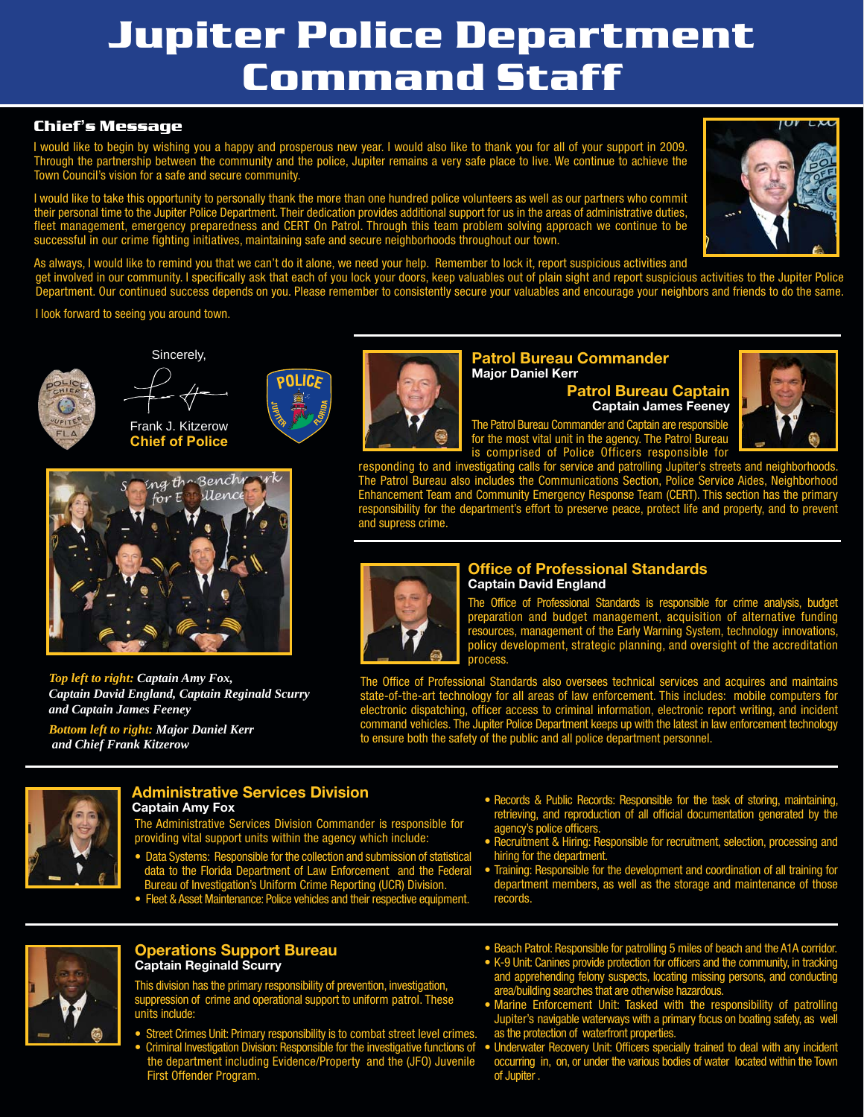# **Jupiter Police Department Command Staff**

### **Chief's Message**

I would like to begin by wishing you a happy and prosperous new year. I would also like to thank you for all of your support in 2009. Through the partnership between the community and the police, Jupiter remains a very safe place to live. We continue to achieve the Town Council's vision for a safe and secure community.

I would like to take this opportunity to personally thank the more than one hundred police volunteers as well as our partners who commit their personal time to the Jupiter Police Department. Their dedication provides additional support for us in the areas of administrative duties, fleet management, emergency preparedness and CERT On Patrol. Through this team problem solving approach we continue to be successful in our crime fighting initiatives, maintaining safe and secure neighborhoods throughout our town.



As always, I would like to remind you that we can't do it alone, we need your help. Remember to lock it, report suspicious activities and

get involved in our community. I specifically ask that each of you lock your doors, keep valuables out of plain sight and report suspicious activities to the Jupiter Police Department. Our continued success depends on you. Please remember to consistently secure your valuables and encourage your neighbors and friends to do the same.

I look forward to seeing you around town.





POLICE

Frank J. Kitzerow **Chief of Police**

Sincerely,



*Top left to right: Captain Amy Fox, Captain David England, Captain Reginald Scurry and Captain James Feeney Bottom left to right: Major Daniel Kerr*

 *and Chief Frank Kitzerow*



#### **Patrol Bureau Commander Major Daniel Kerr**

**Patrol Bureau Captain Captain James Feeney**

The Patrol Bureau Commander and Captain are responsible for the most vital unit in the agency. The Patrol Bureau



is comprised of Police Officers responsible for responding to and investigating calls for service and patrolling Jupiter's streets and neighborhoods. The Patrol Bureau also includes the Communications Section, Police Service Aides, Neighborhood Enhancement Team and Community Emergency Response Team (CERT). This section has the primary responsibility for the department's effort to preserve peace, protect life and property, and to prevent and supress crime.



#### **Office of Professional Standards Captain David England**

The Office of Professional Standards is responsible for crime analysis, budget preparation and budget management, acquisition of alternative funding resources, management of the Early Warning System, technology innovations, policy development, strategic planning, and oversight of the accreditation proc

The Office of Professional Standards also oversees technical services and acquires and maintains state-of-the-art technology for all areas of law enforcement. This includes: mobile computers for electronic dispatching, officer access to criminal information, electronic report writing, and incident command vehicles. The Jupiter Police Department keeps up with the latest in law enforcement technology to ensure both the safety of the public and all police department personnel.



#### **Administrative Services Division Captain Amy Fox**

The Administrative Services Division Commander is responsible for providing vital support units within the agency which include:

- Data Systems: Responsible for the collection and submission of statistical data to the Florida Department of Law Enforcement and the Federal Bureau of Investigation's Uniform Crime Reporting (UCR) Division.
- Fleet & Asset Maintenance: Police vehicles and their respective equipment.
- Records & Public Records: Responsible for the task of storing, maintaining, retrieving, and reproduction of all official documentation generated by the agency's police officers.
- Recruitment & Hiring: Responsible for recruitment, selection, processing and hiring for the department.
- Training: Responsible for the development and coordination of all training for department members, as well as the storage and maintenance of those records.



#### **Operations Support Bureau Captain Reginald Scurry**

This division has the primary responsibility of prevention, investigation, suppression of crime and operational support to uniform patrol. These units include:

- Street Crimes Unit: Primary responsibility is to combat street level crimes. • Criminal Investigation Division: Responsible for the investigative functions of
- the department including Evidence/Property and the (JFO) Juvenile First Offender Program.
- Beach Patrol: Responsible for patrolling 5 miles of beach and the A1A corridor.
- K-9 Unit: Canines provide protection for officers and the community, in tracking and apprehending felony suspects, locating missing persons, and conducting area/building searches that are otherwise hazardous.
- Marine Enforcement Unit: Tasked with the responsibility of patrolling Jupiter's navigable waterways with a primary focus on boating safety, as well as the protection of waterfront properties.
- Underwater Recovery Unit: Officers specially trained to deal with any incident occurring in, on, or under the various bodies of water located within the Town of Jupiter .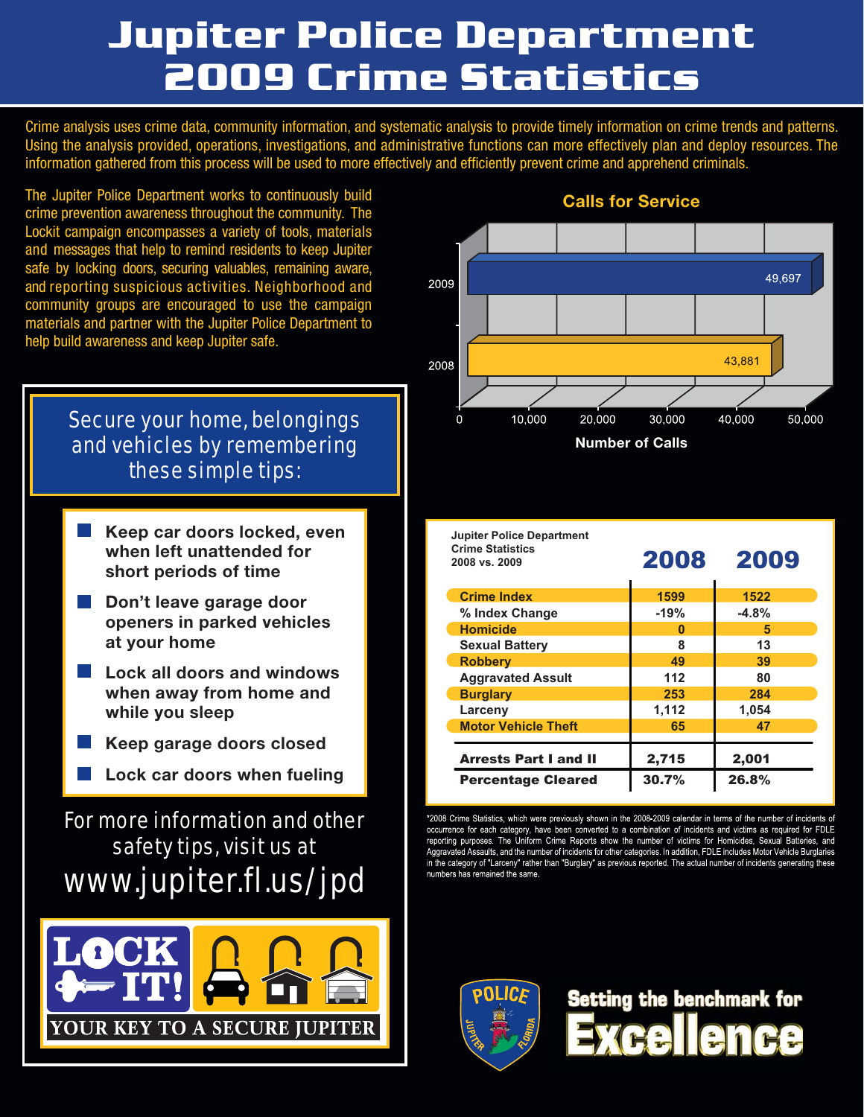# **Jupiter Police Department 2009 Crime Statistics**

Crime analysis uses crime data, community information, and systematic analysis to provide timely information on crime trends and patterns. Using the analysis provided, operations, investigations, and administrative functions can more effectively plan and deploy resources. The information gathered from this process will be used to more effectively and efficiently prevent crime and apprehend criminals.

The Jupiter Police Department works to continuously build crime prevention awareness throughout the community. The Lockit campaign encompasses a variety of tools, materials and messages that help to remind residents to keep Jupiter safe by locking doors, securing valuables, remaining aware, and reporting suspicious activities. Neighborhood and community groups are encouraged to use the campaign materials and partner with the Jupiter Police Department to help build awareness and keep Jupiter safe.

## Secure your home, belongings and vehicles by remembering these simple tips:

- **Keep car doors locked, even when left unattended for short periods of time**
- **Don't leave garage door openers in parked vehicles at your home**
- **Lock all doors and windows when away from home and while you sleep**
- **Keep garage doors closed**
	- **Lock car doors when fueling**

## For more information and other safety tips, visit us at www.jupiter.fl.us/jpd





### **Calls for Service**

| <b>Jupiter Police Department</b><br><b>Crime Statistics</b><br>2008 vs. 2009 | 2008   | 2009    |
|------------------------------------------------------------------------------|--------|---------|
| <b>Crime Index</b>                                                           | 1599   | 1522    |
| % Index Change                                                               | $-19%$ | $-4.8%$ |
| <b>Homicide</b>                                                              | n      | 5       |
| <b>Sexual Battery</b>                                                        | 8      | 13      |
| <b>Robbery</b>                                                               | 49     | 39      |
| <b>Aggravated Assult</b>                                                     | 112    | 80      |
| <b>Burglary</b>                                                              | 253    | 284     |
| Larceny                                                                      | 1,112  | 1,054   |
| <b>Motor Vehicle Theft</b>                                                   | 65     | 47      |
| <b>Arrests Part I and II</b>                                                 | 2,715  | 2,001   |
| <b>Percentage Cleared</b>                                                    | 30.7%  | 26.8%   |

\*2008 Crime Statistics, which were previously shown in the 2008-2009 calendar in terms of the number of incidents of occurrence for each category, have been converted to a combination of incidents and victims as required for FDLE<br>reporting purposes. The Uniform Crime Reports show the number of victims for Homicides, Sexual Batteries, and Aggravated Assaults, and the number of incidents for other categories. In addition, FDLE includes Motor Vehicle Burglaries in the category of "Larceny" rather than "Burglary" as previous reported. The actual number of incidents generating these numbers has remained the same.